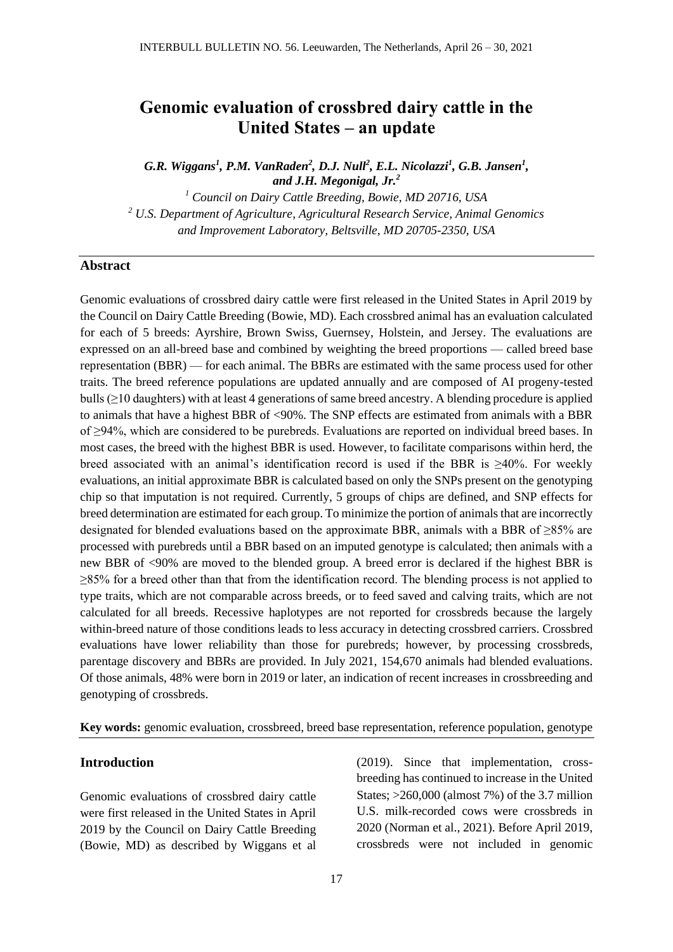# **Genomic evaluation of crossbred dairy cattle in the United States – an update**

*G.R. Wiggans<sup>1</sup> , P.M. VanRaden<sup>2</sup> , D.J. Null<sup>2</sup> , E.L. Nicolazzi<sup>1</sup> , G.B. Jansen<sup>1</sup> , and J.H. Megonigal, Jr.<sup>2</sup>*

*<sup>1</sup> Council on Dairy Cattle Breeding, Bowie, MD 20716, USA <sup>2</sup> U.S. Department of Agriculture, Agricultural Research Service, Animal Genomics and Improvement Laboratory, Beltsville, MD 20705-2350, USA*

# **Abstract**

Genomic evaluations of crossbred dairy cattle were first released in the United States in April 2019 by the Council on Dairy Cattle Breeding (Bowie, MD). Each crossbred animal has an evaluation calculated for each of 5 breeds: Ayrshire, Brown Swiss, Guernsey, Holstein, and Jersey. The evaluations are expressed on an all-breed base and combined by weighting the breed proportions — called breed base representation (BBR) — for each animal. The BBRs are estimated with the same process used for other traits. The breed reference populations are updated annually and are composed of AI progeny-tested bulls (≥10 daughters) with at least 4 generations of same breed ancestry. A blending procedure is applied to animals that have a highest BBR of <90%. The SNP effects are estimated from animals with a BBR of ≥94%, which are considered to be purebreds. Evaluations are reported on individual breed bases. In most cases, the breed with the highest BBR is used. However, to facilitate comparisons within herd, the breed associated with an animal's identification record is used if the BBR is  $\geq 40\%$ . For weekly evaluations, an initial approximate BBR is calculated based on only the SNPs present on the genotyping chip so that imputation is not required. Currently, 5 groups of chips are defined, and SNP effects for breed determination are estimated for each group. To minimize the portion of animals that are incorrectly designated for blended evaluations based on the approximate BBR, animals with a BBR of ≥85% are processed with purebreds until a BBR based on an imputed genotype is calculated; then animals with a new BBR of <90% are moved to the blended group. A breed error is declared if the highest BBR is  $\geq$ 85% for a breed other than that from the identification record. The blending process is not applied to type traits, which are not comparable across breeds, or to feed saved and calving traits, which are not calculated for all breeds. Recessive haplotypes are not reported for crossbreds because the largely within-breed nature of those conditions leads to less accuracy in detecting crossbred carriers. Crossbred evaluations have lower reliability than those for purebreds; however, by processing crossbreds, parentage discovery and BBRs are provided. In July 2021, 154,670 animals had blended evaluations. Of those animals, 48% were born in 2019 or later, an indication of recent increases in crossbreeding and genotyping of crossbreds.

**Key words:** genomic evaluation, crossbreed, breed base representation, reference population, genotype

# **Introduction**

Genomic evaluations of crossbred dairy cattle were first released in the United States in April 2019 by the Council on Dairy Cattle Breeding (Bowie, MD) as described by [Wiggans et al](#page-4-0)  [\(2019\).](#page-4-0) Since that implementation, crossbreeding has continued to increase in the United States; >260,000 (almost 7%) of the 3.7 million U.S. milk-recorded cows were crossbreds in 2020 [\(Norman et al., 2021\)](#page-4-1). Before April 2019, crossbreds were not included in genomic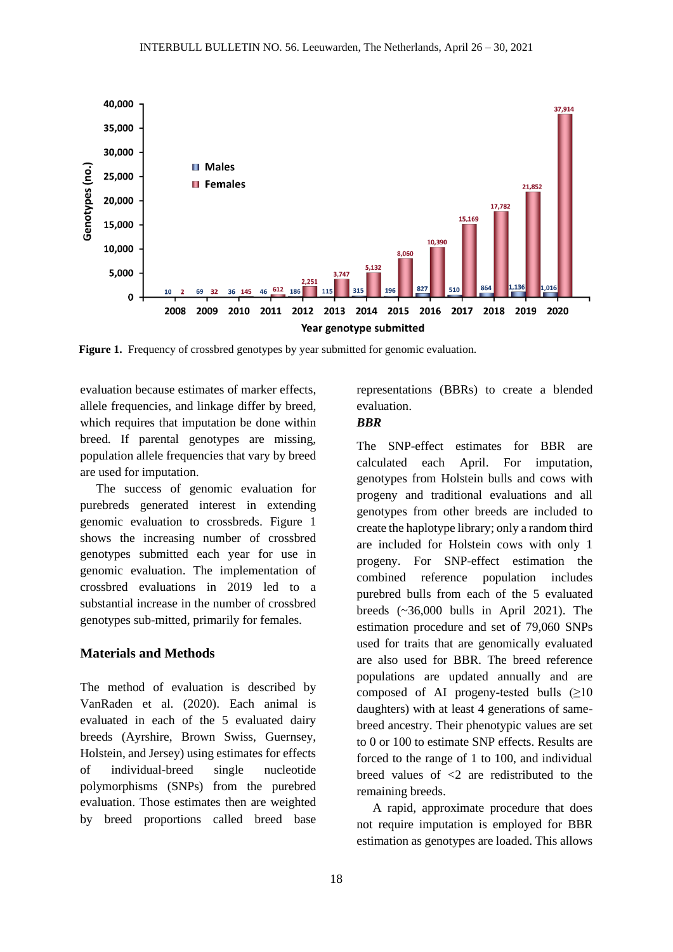

Figure 1. Frequency of crossbred genotypes by year submitted for genomic evaluation.

evaluation because estimates of marker effects, allele frequencies, and linkage differ by breed, which requires that imputation be done within breed. If parental genotypes are missing, population allele frequencies that vary by breed are used for imputation.

The success of genomic evaluation for purebreds generated interest in extending genomic evaluation to crossbreds. Figure 1 shows the increasing number of crossbred genotypes submitted each year for use in genomic evaluation. The implementation of crossbred evaluations in 2019 led to a substantial increase in the number of crossbred genotypes sub-mitted, primarily for females.

# **Materials and Methods**

The method of evaluation is described by [VanRaden et al. \(2020\).](#page-4-2) Each animal is evaluated in each of the 5 evaluated dairy breeds (Ayrshire, Brown Swiss, Guernsey, Holstein, and Jersey) using estimates for effects of individual-breed single nucleotide polymorphisms (SNPs) from the purebred evaluation. Those estimates then are weighted by breed proportions called breed base

representations (BBRs) to create a blended evaluation.

# *BBR*

The SNP-effect estimates for BBR are calculated each April. For imputation, genotypes from Holstein bulls and cows with progeny and traditional evaluations and all genotypes from other breeds are included to create the haplotype library; only a random third are included for Holstein cows with only 1 progeny. For SNP-effect estimation the combined reference population includes purebred bulls from each of the 5 evaluated breeds (~36,000 bulls in April 2021). The estimation procedure and set of 79,060 SNPs used for traits that are genomically evaluated are also used for BBR. The breed reference populations are updated annually and are composed of AI progeny-tested bulls  $(≥10$ daughters) with at least 4 generations of samebreed ancestry. Their phenotypic values are set to 0 or 100 to estimate SNP effects. Results are forced to the range of 1 to 100, and individual breed values of <2 are redistributed to the remaining breeds.

A rapid, approximate procedure that does not require imputation is employed for BBR estimation as genotypes are loaded. This allows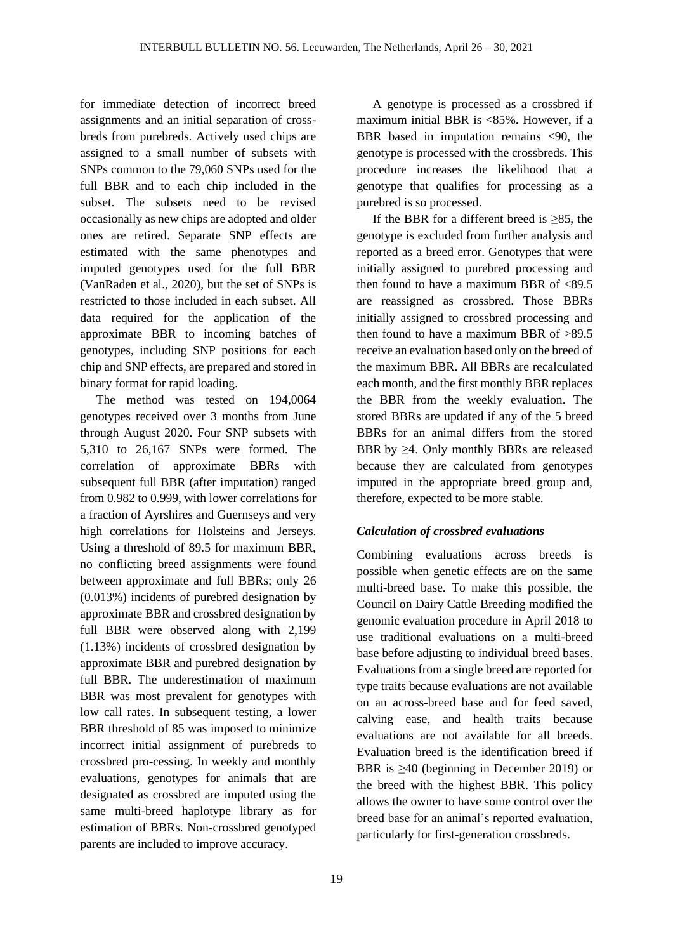for immediate detection of incorrect breed assignments and an initial separation of crossbreds from purebreds. Actively used chips are assigned to a small number of subsets with SNPs common to the 79,060 SNPs used for the full BBR and to each chip included in the subset. The subsets need to be revised occasionally as new chips are adopted and older ones are retired. Separate SNP effects are estimated with the same phenotypes and imputed genotypes used for the full BBR [\(VanRaden et al., 2020\)](#page-4-2), but the set of SNPs is restricted to those included in each subset. All data required for the application of the approximate BBR to incoming batches of genotypes, including SNP positions for each chip and SNP effects, are prepared and stored in binary format for rapid loading.

The method was tested on 194,0064 genotypes received over 3 months from June through August 2020. Four SNP subsets with 5,310 to 26,167 SNPs were formed. The correlation of approximate BBRs with subsequent full BBR (after imputation) ranged from 0.982 to 0.999, with lower correlations for a fraction of Ayrshires and Guernseys and very high correlations for Holsteins and Jerseys. Using a threshold of 89.5 for maximum BBR, no conflicting breed assignments were found between approximate and full BBRs; only 26 (0.013%) incidents of purebred designation by approximate BBR and crossbred designation by full BBR were observed along with 2,199 (1.13%) incidents of crossbred designation by approximate BBR and purebred designation by full BBR. The underestimation of maximum BBR was most prevalent for genotypes with low call rates. In subsequent testing, a lower BBR threshold of 85 was imposed to minimize incorrect initial assignment of purebreds to crossbred pro-cessing. In weekly and monthly evaluations, genotypes for animals that are designated as crossbred are imputed using the same multi-breed haplotype library as for estimation of BBRs. Non-crossbred genotyped parents are included to improve accuracy.

A genotype is processed as a crossbred if maximum initial BBR is <85%. However, if a BBR based in imputation remains <90, the genotype is processed with the crossbreds. This procedure increases the likelihood that a genotype that qualifies for processing as a purebred is so processed.

If the BBR for a different breed is  $\geq$ 85, the genotype is excluded from further analysis and reported as a breed error. Genotypes that were initially assigned to purebred processing and then found to have a maximum BBR of  $<89.5$ are reassigned as crossbred. Those BBRs initially assigned to crossbred processing and then found to have a maximum BBR of >89.5 receive an evaluation based only on the breed of the maximum BBR. All BBRs are recalculated each month, and the first monthly BBR replaces the BBR from the weekly evaluation. The stored BBRs are updated if any of the 5 breed BBRs for an animal differs from the stored BBR by  $\geq$ 4. Only monthly BBRs are released because they are calculated from genotypes imputed in the appropriate breed group and, therefore, expected to be more stable.

# *Calculation of crossbred evaluations*

Combining evaluations across breeds is possible when genetic effects are on the same multi-breed base. To make this possible, the Council on Dairy Cattle Breeding modified the genomic evaluation procedure in April 2018 to use traditional evaluations on a multi-breed base before adjusting to individual breed bases. Evaluations from a single breed are reported for type traits because evaluations are not available on an across-breed base and for feed saved, calving ease, and health traits because evaluations are not available for all breeds. Evaluation breed is the identification breed if BBR is  $\geq 40$  (beginning in December 2019) or the breed with the highest BBR. This policy allows the owner to have some control over the breed base for an animal's reported evaluation, particularly for first-generation crossbreds.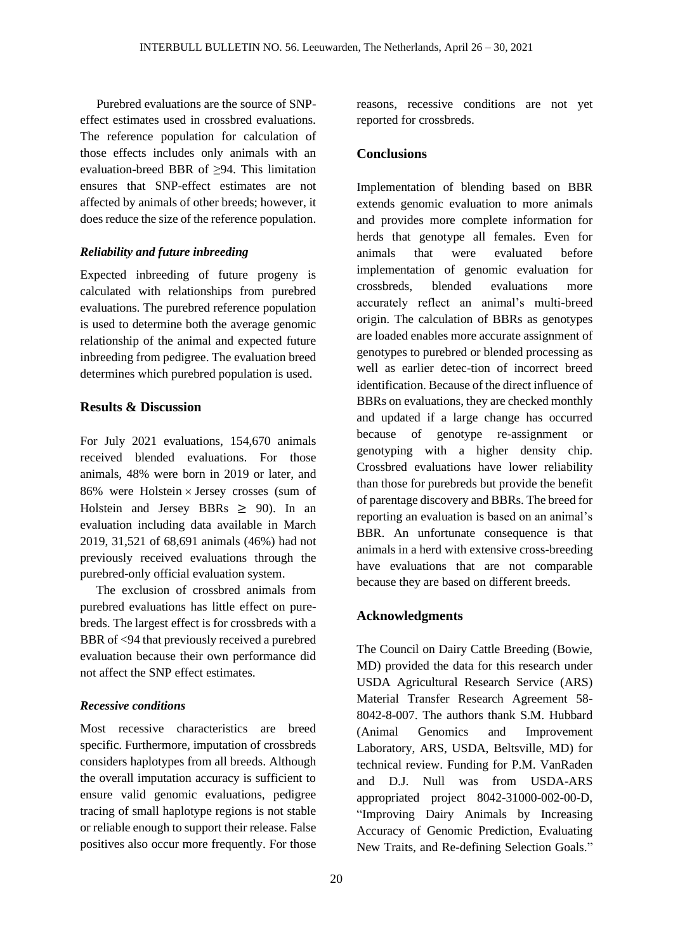Purebred evaluations are the source of SNPeffect estimates used in crossbred evaluations. The reference population for calculation of those effects includes only animals with an evaluation-breed BBR of ≥94. This limitation ensures that SNP-effect estimates are not affected by animals of other breeds; however, it does reduce the size of the reference population.

#### *Reliability and future inbreeding*

Expected inbreeding of future progeny is calculated with relationships from purebred evaluations. The purebred reference population is used to determine both the average genomic relationship of the animal and expected future inbreeding from pedigree. The evaluation breed determines which purebred population is used.

# **Results & Discussion**

For July 2021 evaluations, 154,670 animals received blended evaluations. For those animals, 48% were born in 2019 or later, and 86% were Holstein  $\times$  Jersey crosses (sum of Holstein and Jersey BBRs  $\geq$  90). In an evaluation including data available in March 2019, 31,521 of 68,691 animals (46%) had not previously received evaluations through the purebred-only official evaluation system.

The exclusion of crossbred animals from purebred evaluations has little effect on purebreds. The largest effect is for crossbreds with a BBR of <94 that previously received a purebred evaluation because their own performance did not affect the SNP effect estimates.

## *Recessive conditions*

Most recessive characteristics are breed specific. Furthermore, imputation of crossbreds considers haplotypes from all breeds. Although the overall imputation accuracy is sufficient to ensure valid genomic evaluations, pedigree tracing of small haplotype regions is not stable or reliable enough to support their release. False positives also occur more frequently. For those reasons, recessive conditions are not yet reported for crossbreds.

# **Conclusions**

Implementation of blending based on BBR extends genomic evaluation to more animals and provides more complete information for herds that genotype all females. Even for animals that were evaluated before implementation of genomic evaluation for crossbreds, blended evaluations more accurately reflect an animal's multi-breed origin. The calculation of BBRs as genotypes are loaded enables more accurate assignment of genotypes to purebred or blended processing as well as earlier detec-tion of incorrect breed identification. Because of the direct influence of BBRs on evaluations, they are checked monthly and updated if a large change has occurred because of genotype re-assignment or genotyping with a higher density chip. Crossbred evaluations have lower reliability than those for purebreds but provide the benefit of parentage discovery and BBRs. The breed for reporting an evaluation is based on an animal's BBR. An unfortunate consequence is that animals in a herd with extensive cross-breeding have evaluations that are not comparable because they are based on different breeds.

# **Acknowledgments**

The Council on Dairy Cattle Breeding (Bowie, MD) provided the data for this research under USDA Agricultural Research Service (ARS) Material Transfer Research Agreement 58- 8042-8-007. The authors thank S.M. Hubbard (Animal Genomics and Improvement Laboratory, ARS, USDA, Beltsville, MD) for technical review. Funding for P.M. VanRaden and D.J. Null was from USDA-ARS appropriated project 8042-31000-002-00-D, "Improving Dairy Animals by Increasing Accuracy of Genomic Prediction, Evaluating New Traits, and Re-defining Selection Goals."